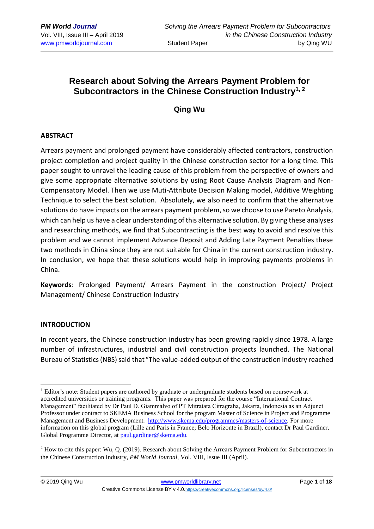# **Research about Solving the Arrears Payment Problem for Subcontractors in the Chinese Construction Industry1, 2**

## **Qing Wu**

### **ABSTRACT**

Arrears payment and prolonged payment have considerably affected contractors, construction project completion and project quality in the Chinese construction sector for a long time. This paper sought to unravel the leading cause of this problem from the perspective of owners and give some appropriate alternative solutions by using Root Cause Analysis Diagram and Non-Compensatory Model. Then we use Muti-Attribute Decision Making model, Additive Weighting Technique to select the best solution. Absolutely, we also need to confirm that the alternative solutions do have impacts on the arrears payment problem, so we choose to use Pareto Analysis, which can help us have a clear understanding of this alternative solution. By giving these analyses and researching methods, we find that Subcontracting is the best way to avoid and resolve this problem and we cannot implement Advance Deposit and Adding Late Payment Penalties these two methods in China since they are not suitable for China in the current construction industry. In conclusion, we hope that these solutions would help in improving payments problems in China.

**Keywords**: Prolonged Payment/ Arrears Payment in the construction Project/ Project Management/ Chinese Construction Industry

#### **INTRODUCTION**

1

In recent years, the Chinese construction industry has been growing rapidly since 1978. A large number of infrastructures, industrial and civil construction projects launched. The National Bureau of Statistics (NBS) said that "The value-added output of the construction industry reached

<sup>&</sup>lt;sup>1</sup> Editor's note: Student papers are authored by graduate or undergraduate students based on coursework at accredited universities or training programs. This paper was prepared for the course "International Contract Management" facilitated by Dr Paul D. Giammalvo of PT Mitratata Citragraha, Jakarta, Indonesia as an Adjunct Professor under contract to SKEMA Business School for the program Master of Science in Project and Programme Management and Business Development. [http://www.skema.edu/programmes/masters-of-science.](http://www.skema.edu/programmes/masters-of-science) For more information on this global program (Lille and Paris in France; Belo Horizonte in Brazil), contact Dr Paul Gardiner, Global Programme Director, a[t paul.gardiner@skema.edu.](mailto:paul.gardiner@skema.edu)

<sup>2</sup> How to cite this paper: Wu, Q. (2019). Research about Solving the Arrears Payment Problem for Subcontractors in the Chinese Construction Industry, *PM World Journal*, Vol. VIII, Issue III (April).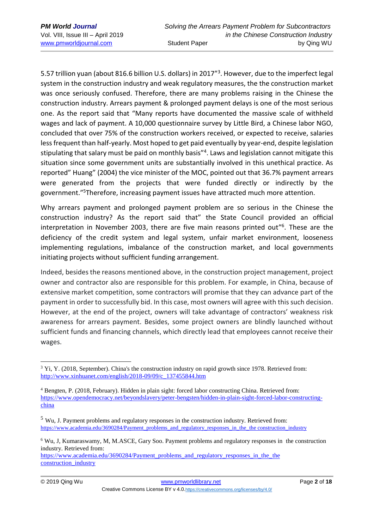5.57 trillion yuan (about 816.6 billion U.S. dollars) in 2017"<sup>3</sup>. However, due to the imperfect legal system in the construction industry and weak regulatory measures, the the construction market was once seriously confused. Therefore, there are many problems raising in the Chinese the construction industry. Arrears payment & prolonged payment delays is one of the most serious one. As the report said that "Many reports have documented the massive scale of withheld wages and lack of payment. A 10,000 questionnaire survey by Little Bird, a Chinese labor NGO, concluded that over 75% of the construction workers received, or expected to receive, salaries less frequent than half-yearly. Most hoped to get paid eventually by year-end, despite legislation stipulating that salary must be paid on monthly basis"<sup>4</sup>. Laws and legislation cannot mitigate this situation since some government units are substantially involved in this unethical practice. As reported" Huang" (2004) the vice minister of the MOC, pointed out that 36.7% payment arrears were generated from the projects that were funded directly or indirectly by the government."<sup>5</sup>Therefore, increasing payment issues have attracted much more attention.

Why arrears payment and prolonged payment problem are so serious in the Chinese the construction industry? As the report said that" the State Council provided an official interpretation in November 2003, there are five main reasons printed out" 6 . These are the deficiency of the credit system and legal system, unfair market environment, looseness implementing regulations, imbalance of the construction market, and local governments initiating projects without sufficient funding arrangement.

Indeed, besides the reasons mentioned above, in the construction project management, project owner and contractor also are responsible for this problem. For example, in China, because of extensive market competition, some contractors will promise that they can advance part of the payment in order to successfully bid. In this case, most owners will agree with this such decision. However, at the end of the project, owners will take advantage of contractors' weakness risk awareness for arrears payment. Besides, some project owners are blindly launched without sufficient funds and financing channels, which directly lead that employees cannot receive their wages.

<sup>6</sup> Wu, J, Kumaraswamy, M, M.ASCE, Gary Soo. Payment problems and regulatory responses in the construction industry. Retrieved from:

https://www.academia.edu/3690284/Payment\_problems\_and\_regulatory\_responses\_in\_the\_the [construction\\_industry](https://www.academia.edu/3690284/Payment_problems_and_regulatory_responses_in_the_the%20construction_industry)

<sup>&</sup>lt;u>.</u> <sup>3</sup> Yi, Y. (2018, September). China's the construction industry on rapid growth since 1978. Retrieved from: [http://www.xinhuanet.com/english/2018-09/09/c\\_137455844.htm](http://www.xinhuanet.com/english/2018-09/09/c_137455844.htm)

<sup>4</sup> Bengten, P. (2018, February). Hidden in plain sight: forced labor constructing China. Retrieved from: [https://www.opendemocracy.net/beyondslavery/peter-bengsten/hidden-in-plain-sight-forced-labor-constructing](https://www.opendemocracy.net/beyondslavery/peter-bengsten/hidden-in-plain-sight-forced-labour-constructing-china)[china](https://www.opendemocracy.net/beyondslavery/peter-bengsten/hidden-in-plain-sight-forced-labour-constructing-china)

<sup>&</sup>lt;sup>5</sup> Wu, J. Payment problems and regulatory responses in the construction industry. Retrieved from: [https://www.academia.edu/3690284/Payment\\_problems\\_and\\_regulatory\\_responses\\_in\\_the\\_the construction\\_industry](https://www.academia.edu/3690284/Payment_problems_and_regulatory_responses_in_the_construction_industry)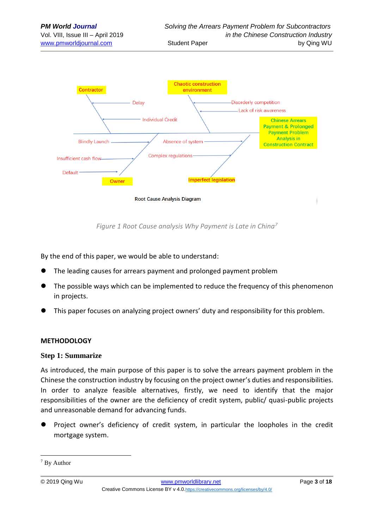

*Figure 1 Root Cause analysis Why Payment is Late in China<sup>7</sup>*

By the end of this paper, we would be able to understand:

- ⚫ The leading causes for arrears payment and prolonged payment problem
- ⚫ The possible ways which can be implemented to reduce the frequency of this phenomenon in projects.
- ⚫ This paper focuses on analyzing project owners' duty and responsibility for this problem.

### **METHODOLOGY**

### **Step 1: Summarize**

As introduced, the main purpose of this paper is to solve the arrears payment problem in the Chinese the construction industry by focusing on the project owner's duties and responsibilities. In order to analyze feasible alternatives, firstly, we need to identify that the major responsibilities of the owner are the deficiency of credit system, public/ quasi-public projects and unreasonable demand for advancing funds.

⚫ Project owner's deficiency of credit system, in particular the loopholes in the credit mortgage system.

<u>.</u>

<sup>&</sup>lt;sup>7</sup> By Author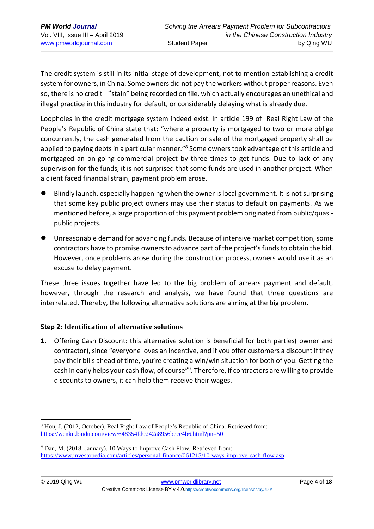The credit system is still in its initial stage of development, not to mention establishing a credit system for owners, in China. Some owners did not pay the workers without proper reasons. Even so, there is no credit "stain" being recorded on file, which actually encourages an unethical and illegal practice in this industry for default, or considerably delaying what is already due.

Loopholes in the credit mortgage system indeed exist. In article 199 of Real Right Law of the People's Republic of China state that: "where a property is mortgaged to two or more oblige concurrently, the cash generated from the caution or sale of the mortgaged property shall be applied to paying debts in a particular manner."<sup>8</sup> Some owners took advantage of this article and mortgaged an on-going commercial project by three times to get funds. Due to lack of any supervision for the funds, it is not surprised that some funds are used in another project. When a client faced financial strain, payment problem arose.

- ⚫ Blindly launch, especially happening when the owner is local government. It is not surprising that some key public project owners may use their status to default on payments. As we mentioned before, a large proportion of this payment problem originated from public/quasipublic projects.
- ⚫ Unreasonable demand for advancing funds. Because of intensive market competition, some contractors have to promise owners to advance part of the project's funds to obtain the bid. However, once problems arose during the construction process, owners would use it as an excuse to delay payment.

These three issues together have led to the big problem of arrears payment and default, however, through the research and analysis, we have found that three questions are interrelated. Thereby, the following alternative solutions are aiming at the big problem.

### **Step 2: Identification of alternative solutions**

**1.** Offering Cash Discount: this alternative solution is beneficial for both parties( owner and contractor), since "everyone loves an incentive, and if you offer customers a discount if they pay their bills ahead of time, you're creating a win/win situation for both of you. Getting the cash in early helps your cash flow, of course"<sup>9</sup>. Therefore, if contractors are willing to provide discounts to owners, it can help them receive their wages.

<sup>1</sup> <sup>8</sup> Hou, J. (2012, October). Real Right Law of People's Republic of China. Retrieved from: <https://wenku.baidu.com/view/648354fd0242a8956bece4b6.html?pn=50>

<sup>9</sup> Dan, M. (2018, January). 10 Ways to Improve Cash Flow. Retrieved from: <https://www.investopedia.com/articles/personal-finance/061215/10-ways-improve-cash-flow.asp>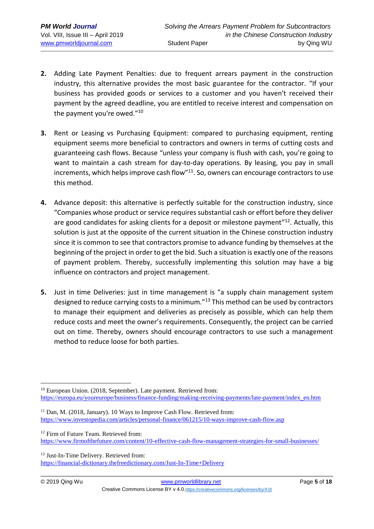- **2.** Adding Late Payment Penalties: due to frequent arrears payment in the construction industry, this alternative provides the most basic guarantee for the contractor. "If your business has provided goods or services to a customer and you haven't received their payment by the agreed deadline, you are entitled to receive interest and compensation on the payment you're owed."<sup>10</sup>
- **3.** Rent or Leasing vs Purchasing Equipment: compared to purchasing equipment, renting equipment seems more beneficial to contractors and owners in terms of cutting costs and guaranteeing cash flows. Because "unless your company is flush with cash, you're going to want to maintain a cash stream for day-to-day operations. By leasing, you pay in small increments, which helps improve cash flow"<sup>11</sup>. So, owners can encourage contractors to use this method.
- **4.** Advance deposit: this alternative is perfectly suitable for the construction industry, since "Companies whose product or service requires substantial cash or effort before they deliver are good candidates for asking clients for a deposit or milestone payment<sup>"12</sup>. Actually, this solution is just at the opposite of the current situation in the Chinese construction industry since it is common to see that contractors promise to advance funding by themselves at the beginning of the project in order to get the bid. Such a situation is exactly one of the reasons of payment problem. Thereby, successfully implementing this solution may have a big influence on contractors and project management.
- **5.** Just in time Deliveries: just in time management is "a supply chain management system designed to reduce carrying costs to a minimum."<sup>13</sup> This method can be used by contractors to manage their equipment and deliveries as precisely as possible, which can help them reduce costs and meet the owner's requirements. Consequently, the project can be carried out on time. Thereby, owners should encourage contractors to use such a management method to reduce loose for both parties.

<sup>13</sup> Just-In-Time Delivery. Retrieved from:

<https://financial-dictionary.thefreedictionary.com/Just-In-Time+Delivery>

<sup>&</sup>lt;u>.</u> <sup>10</sup> European Union. (2018, September). Late payment. Retrieved from: [https://europa.eu/youreurope/business/finance-funding/making-receiving-payments/late-payment/index\\_en.htm](https://europa.eu/youreurope/business/finance-funding/making-receiving-payments/late-payment/index_en.htm)

<sup>&</sup>lt;sup>11</sup> Dan, M. (2018, January). 10 Ways to Improve Cash Flow. Retrieved from: <https://www.investopedia.com/articles/personal-finance/061215/10-ways-improve-cash-flow.asp>

<sup>&</sup>lt;sup>12</sup> Firm of Future Team. Retrieved from: <https://www.firmofthefuture.com/content/10-effective-cash-flow-management-strategies-for-small-businesses/>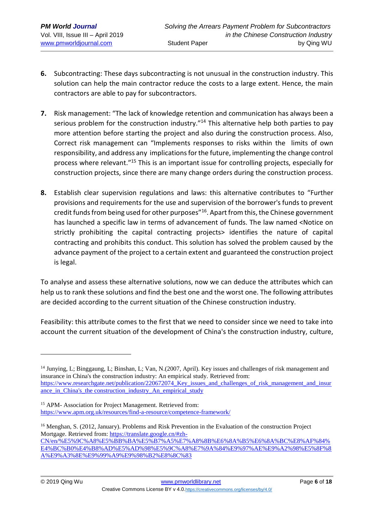- **6.** Subcontracting: These days subcontracting is not unusual in the construction industry. This solution can help the main contractor reduce the costs to a large extent. Hence, the main contractors are able to pay for subcontractors.
- **7.** Risk management: "The lack of knowledge retention and communication has always been a serious problem for the construction industry."<sup>14</sup> This alternative help both parties to pay more attention before starting the project and also during the construction process. Also, Correct risk management can "Implements responses to risks within the limits of own responsibility, and address any implications for the future, implementing the change control process where relevant."<sup>15</sup> This is an important issue for controlling projects, especially for construction projects, since there are many change orders during the construction process.
- **8.** Establish clear supervision regulations and laws: this alternative contributes to "Further provisions and requirements for the use and supervision of the borrower's funds to prevent credit funds from being used for other purposes"<sup>16</sup>. Apart from this, the Chinese government has launched a specific law in terms of advancement of funds. The law named <Notice on strictly prohibiting the capital contracting projects> identifies the nature of capital contracting and prohibits this conduct. This solution has solved the problem caused by the advance payment of the project to a certain extent and guaranteed the construction project is legal.

To analyse and assess these alternative solutions, now we can deduce the attributes which can help us to rank these solutions and find the best one and the worst one. The following attributes are decided according to the current situation of the Chinese construction industry.

Feasibility: this attribute comes to the first that we need to consider since we need to take into account the current situation of the development of China's the construction industry, culture,

<sup>14</sup> Junying, L; Binggaung, L; Binshan, L; Van, N.(2007, April). Key issues and challenges of risk management and insurance in China's the construction industry: An empirical study. Retrieved from: [https://www.researchgate.net/publication/220672074\\_Key\\_issues\\_and\\_challenges\\_of\\_risk\\_management\\_and\\_insur](https://www.researchgate.net/publication/220672074_Key_issues_and_challenges_of_risk_management_and_insurance_in_China) ance in China's the construction industry An empirical study

<sup>15</sup> APM- Association for Project Management. Retrieved from: <https://www.apm.org.uk/resources/find-a-resource/competence-framework/>

<sup>&</sup>lt;sup>16</sup> Menghan, S. (2012, January). Problems and Risk Prevention in the Evaluation of the construction Project Mortgage. Retrieved from: [https://translate.google.cn/#zh-](https://translate.google.cn/#zh-CN/en/%E5%9C%A8%E5%BB%BA%E5%B7%A5%E7%A8%8B%E6%8A%B5%E6%8A%BC%E8%AF%84%E4%BC%B0%E4%B8%AD%E5%AD%98%E5%9C%A8%E7%9A%84%E9%97%AE%E9%A2%98%E5%8F%8A%E9%A3%8E%E9%99%A9%E9%98%B2%E8%8C%83)[CN/en/%E5%9C%A8%E5%BB%BA%E5%B7%A5%E7%A8%8B%E6%8A%B5%E6%8A%BC%E8%AF%84%](https://translate.google.cn/#zh-CN/en/%E5%9C%A8%E5%BB%BA%E5%B7%A5%E7%A8%8B%E6%8A%B5%E6%8A%BC%E8%AF%84%E4%BC%B0%E4%B8%AD%E5%AD%98%E5%9C%A8%E7%9A%84%E9%97%AE%E9%A2%98%E5%8F%8A%E9%A3%8E%E9%99%A9%E9%98%B2%E8%8C%83) [E4%BC%B0%E4%B8%AD%E5%AD%98%E5%9C%A8%E7%9A%84%E9%97%AE%E9%A2%98%E5%8F%8](https://translate.google.cn/#zh-CN/en/%E5%9C%A8%E5%BB%BA%E5%B7%A5%E7%A8%8B%E6%8A%B5%E6%8A%BC%E8%AF%84%E4%BC%B0%E4%B8%AD%E5%AD%98%E5%9C%A8%E7%9A%84%E9%97%AE%E9%A2%98%E5%8F%8A%E9%A3%8E%E9%99%A9%E9%98%B2%E8%8C%83) [A%E9%A3%8E%E9%99%A9%E9%98%B2%E8%8C%83](https://translate.google.cn/#zh-CN/en/%E5%9C%A8%E5%BB%BA%E5%B7%A5%E7%A8%8B%E6%8A%B5%E6%8A%BC%E8%AF%84%E4%BC%B0%E4%B8%AD%E5%AD%98%E5%9C%A8%E7%9A%84%E9%97%AE%E9%A2%98%E5%8F%8A%E9%A3%8E%E9%99%A9%E9%98%B2%E8%8C%83)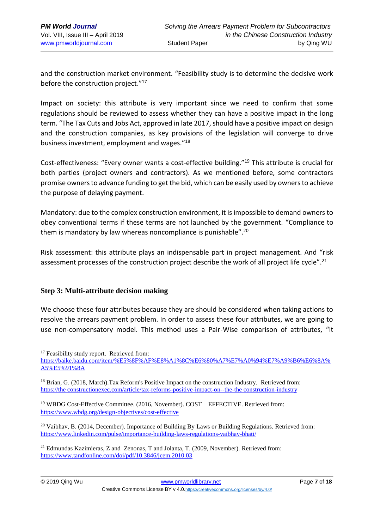and the construction market environment. "Feasibility study is to determine the decisive work before the construction project."<sup>17</sup>

Impact on society: this attribute is very important since we need to confirm that some regulations should be reviewed to assess whether they can have a positive impact in the long term. "The Tax Cuts and Jobs Act, approved in late 2017, should have a positive impact on design and the construction companies, as key provisions of the legislation will converge to drive business investment, employment and wages."<sup>18</sup>

Cost-effectiveness: "Every owner wants a cost-effective building." <sup>19</sup> This attribute is crucial for both parties (project owners and contractors). As we mentioned before, some contractors promise owners to advance funding to get the bid, which can be easily used by owners to achieve the purpose of delaying payment.

Mandatory: due to the complex construction environment, it is impossible to demand owners to obey conventional terms if these terms are not launched by the government. "Compliance to them is mandatory by law whereas noncompliance is punishable". 20

Risk assessment: this attribute plays an indispensable part in project management. And "risk assessment processes of the construction project describe the work of all project life cycle".<sup>21</sup>

### **Step 3: Multi-attribute decision making**

We choose these four attributes because they are should be considered when taking actions to resolve the arrears payment problem. In order to assess these four attributes, we are going to use non-compensatory model. This method uses a Pair-Wise comparison of attributes, "it

<sup>1</sup> <sup>17</sup> Feasibility study report. Retrieved from:

[https://baike.baidu.com/item/%E5%8F%AF%E8%A1%8C%E6%80%A7%E7%A0%94%E7%A9%B6%E6%8A%](https://baike.baidu.com/item/%E5%8F%AF%E8%A1%8C%E6%80%A7%E7%A0%94%E7%A9%B6%E6%8A%A5%E5%91%8A) [A5%E5%91%8A](https://baike.baidu.com/item/%E5%8F%AF%E8%A1%8C%E6%80%A7%E7%A0%94%E7%A9%B6%E6%8A%A5%E5%91%8A)

<sup>18</sup> Brian, G. (2018, March).Tax Reform's Positive Impact on the construction Industry. Retrieved from: [https://the constructionexec.com/article/tax-reforms-positive-impact-on--the-the construction-industry](https://constructionexec.com/article/tax-reforms-positive-impact-on--the-construction-industry)

<sup>19</sup> WBDG Cost-Effective Committee. (2016, November). COST–EFFECTIVE. Retrieved from: <https://www.wbdg.org/design-objectives/cost-effective>

<sup>&</sup>lt;sup>20</sup> Vaibhav, B. (2014, December). Importance of Building By Laws or Building Regulations. Retrieved from: <https://www.linkedin.com/pulse/importance-building-laws-regulations-vaibhav-bhati/>

<sup>21</sup> Edmundas Kazimieras, Z and Zenonas, T and Jolanta, T. (2009, November). Retrieved from: <https://www.tandfonline.com/doi/pdf/10.3846/jcem.2010.03>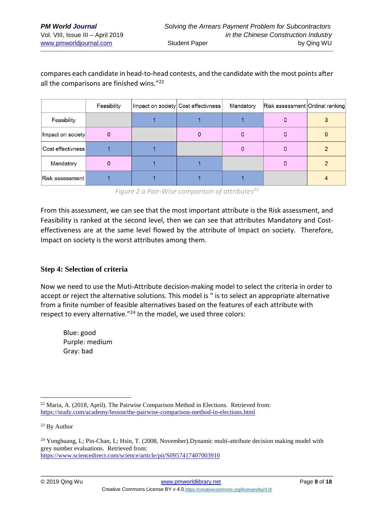## compares each candidate in head-to-head contests, and the candidate with the most points after all the comparisons are finished wins."<sup>22</sup>

|                        | Feasibility | Impact on society Cost effectivness | Mandatory | Risk assessment Ordinal ranking |  |  |
|------------------------|-------------|-------------------------------------|-----------|---------------------------------|--|--|
| Feasibility            |             |                                     |           |                                 |  |  |
| Impact on society      |             |                                     |           |                                 |  |  |
| ∣Cost effectivness‡    |             |                                     |           |                                 |  |  |
| Mandatory              |             |                                     |           |                                 |  |  |
| <b>Risk assessment</b> |             |                                     |           |                                 |  |  |

*Figure 2 a Pair-Wise comparison of attributes<sup>23</sup>*

From this assessment, we can see that the most important attribute is the Risk assessment, and Feasibility is ranked at the second level, then we can see that attributes Mandatory and Costeffectiveness are at the same level flowed by the attribute of Impact on society. Therefore, Impact on society is the worst attributes among them.

### **Step 4: Selection of criteria**

Now we need to use the Muti-Attribute decision-making model to select the criteria in order to accept or reject the alternative solutions. This model is " is to select an appropriate alternative from a finite number of feasible alternatives based on the features of each attribute with respect to every alternative."<sup>24</sup> In the model, we used three colors:

Blue: good Purple: medium Gray: bad

<sup>&</sup>lt;sup>22</sup> Maria, A. (2018, April). The Pairwise Comparison Method in Elections. Retrieved from: <https://study.com/academy/lesson/the-pairwise-comparison-method-in-elections.html>

<sup>&</sup>lt;sup>23</sup> By Author

<sup>&</sup>lt;sup>24</sup> Yonghuang, L; Pin-Chan, L; Hsin, T. (2008, November).Dynamic multi-attribute decision making model with grey number evaluations. Retrieved from: <https://www.sciencedirect.com/science/article/pii/S0957417407003910>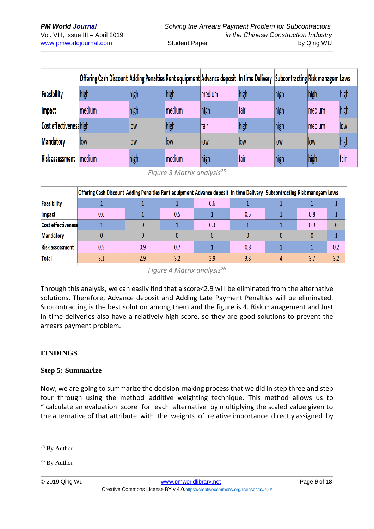|                        | Offering Cash Discount Adding Penalties Rent equipment Advance deposit In time Delivery Subcontracting Risk managem Laws |      |        |        |      |      |         |      |
|------------------------|--------------------------------------------------------------------------------------------------------------------------|------|--------|--------|------|------|---------|------|
| Feasibility            | high                                                                                                                     | high | high   | medium | high | high | high    | high |
| <b>Impact</b>          | medium                                                                                                                   | high | medium | high   | fair | high | Imedium | high |
| Cost effectivenesshigh |                                                                                                                          | low  | high   | fair   | high | high | medium  | llow |
| <b>Mandatory</b>       | low                                                                                                                      | llow | llow   | llow   | llow | llow | llow    | high |
| <b>Risk assessment</b> | medium                                                                                                                   | high | medium | high   | fair | high | high    | fair |

*Figure 3 Matrix analysis<sup>25</sup>*

|                           | Offering Cash Discount Adding Penalties Rent equipment Advance deposit In time Delivery Subcontracting Risk managem Laws |     |     |     |     |     |     |
|---------------------------|--------------------------------------------------------------------------------------------------------------------------|-----|-----|-----|-----|-----|-----|
| <b>Feasibility</b>        |                                                                                                                          |     |     | 0.6 |     |     |     |
| <b>Impact</b>             | 0.6                                                                                                                      |     | 0.5 |     | 0.5 | 0.8 |     |
| <b>Cost effectiveness</b> |                                                                                                                          |     |     | 0.3 |     | 0.9 |     |
| <b>Mandatory</b>          |                                                                                                                          |     |     |     |     |     |     |
| <b>Risk assessment</b>    | 0.5                                                                                                                      | 0.9 |     |     | 0.8 |     | 0.2 |
| <b>Total</b>              | 3.1                                                                                                                      | 2.9 | 3.2 | 2.9 | 3.3 | 3.7 | 3.2 |

*Figure 4 Matrix analysis<sup>26</sup>*

Through this analysis, we can easily find that a score<2.9 will be eliminated from the alternative solutions. Therefore, Advance deposit and Adding Late Payment Penalties will be eliminated. Subcontracting is the best solution among them and the figure is 4. Risk management and Just in time deliveries also have a relatively high score, so they are good solutions to prevent the arrears payment problem.

### **FINDINGS**

### **Step 5: Summarize**

Now, we are going to summarize the decision-making process that we did in step three and step four through using the method additive weighting technique. This method allows us to " calculate an evaluation score for each alternative by multiplying the scaled value given to the alternative of that attribute with the weights of relative importance directly assigned by

<sup>&</sup>lt;sup>25</sup> By Author

<sup>&</sup>lt;sup>26</sup> By Author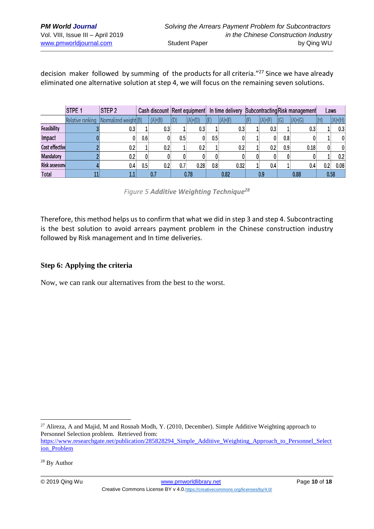decision maker followed by summing of the products for all criteria."<sup>27</sup> Since we have already eliminated one alternative solution at step 4, we will focus on the remaining seven solutions.

|                      | <b>STPE 1</b>    | <b>STEP 2</b>         |     |           | Cash discount Rent equipment |           | In time delivery |           |  |           | Subcontracting Risk management |             | Laws                     |             |
|----------------------|------------------|-----------------------|-----|-----------|------------------------------|-----------|------------------|-----------|--|-----------|--------------------------------|-------------|--------------------------|-------------|
|                      | Relative ranking | Normalized weight (B) |     | $(A)*(B)$ | $ D\rangle$                  | $(A)*(D)$ | (E)              | $(A)*(E)$ |  | $(A)*(F)$ | (G)                            | $ (A)*(G) $ | $\mathsf{H}(\mathsf{H})$ | $ (A)*(H) $ |
| <b>Feasibility</b>   |                  | 0.3                   |     | 0.3       |                              | 0.3       |                  | 0.3       |  | 0.3       |                                | 0.3         |                          | 0.3         |
| Impact               |                  |                       | 0.6 |           | 0.5                          |           | 0.5              |           |  |           | 0.8                            |             |                          |             |
| Cost effective       |                  | 0.2                   |     | 0.2       |                              | 0.2       |                  | 0.2       |  | 0.2       | 0.9                            | 0.18        | 0                        |             |
| <b>Mandatory</b>     |                  | 0.2                   | 0   |           |                              |           |                  |           |  |           |                                |             |                          | 0.2         |
| <b>Risk assessme</b> |                  | 0.4                   | 0.5 | 0.2       |                              | 0.28      | 0.8              | 0.32      |  | 0.4       |                                | 0.4         | 0.2                      | 0.08        |
| <b>Total</b>         |                  | 1.1                   |     |           |                              | 0.78      |                  | 0.82      |  | 0.9       |                                | 0.88        |                          | 0.58        |

*Figure 5 Additive Weighting Technique<sup>28</sup>*

Therefore, this method helps us to confirm that what we did in step 3 and step 4. Subcontracting is the best solution to avoid arrears payment problem in the Chinese construction industry followed by Risk management and In time deliveries.

### **Step 6: Applying the criteria**

Now, we can rank our alternatives from the best to the worst.

<sup>1</sup> <sup>27</sup> Alireza, A and Majid, M and Rosnah Modh, Y. (2010, December). Simple Additive Weighting approach to Personnel Selection problem. Retrieved from:

[https://www.researchgate.net/publication/285828294\\_Simple\\_Additive\\_Weighting\\_Approach\\_to\\_Personnel\\_Select](https://www.researchgate.net/publication/285828294_Simple_Additive_Weighting_Approach_to_Personnel_Selection_Problem) [ion\\_Problem](https://www.researchgate.net/publication/285828294_Simple_Additive_Weighting_Approach_to_Personnel_Selection_Problem)

<sup>28</sup> By Author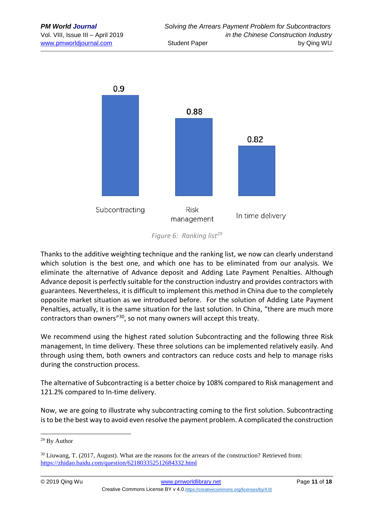

*Figure 6: Ranking list<sup>29</sup>*

Thanks to the additive weighting technique and the ranking list, we now can clearly understand which solution is the best one, and which one has to be eliminated from our analysis. We eliminate the alternative of Advance deposit and Adding Late Payment Penalties. Although Advance deposit is perfectly suitable for the construction industry and provides contractors with guarantees. Nevertheless, it is difficult to implement this method in China due to the completely opposite market situation as we introduced before. For the solution of Adding Late Payment Penalties, actually, it is the same situation for the last solution. In China, "there are much more contractors than owners<sup>"30</sup>, so not many owners will accept this treaty.

We recommend using the highest rated solution Subcontracting and the following three Risk management, In time delivery. These three solutions can be implemented relatively easily. And through using them, both owners and contractors can reduce costs and help to manage risks during the construction process.

The alternative of Subcontracting is a better choice by 108% compared to Risk management and 121.2% compared to In-time delivery.

Now, we are going to illustrate why subcontracting coming to the first solution. Subcontracting is to be the best way to avoid even resolve the payment problem. A complicated the construction

<sup>29</sup> By Author

<sup>30</sup> Liuwang, T. (2017, August). What are the reasons for the arrears of the construction? Retrieved from: <https://zhidao.baidu.com/question/621803352512684332.html>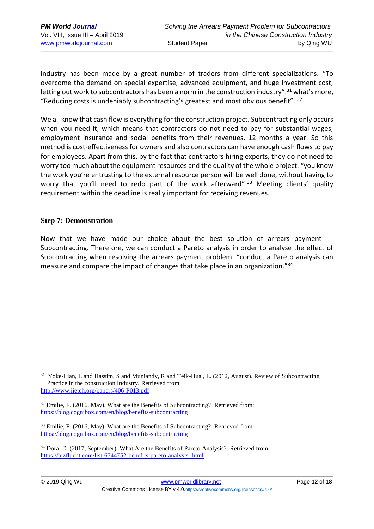industry has been made by a great number of traders from different specializations. "To overcome the demand on special expertise, advanced equipment, and huge investment cost, letting out work to subcontractors has been a norm in the construction industry".<sup>31</sup> what's more, "Reducing costs is undeniably subcontracting's greatest and most obvious benefit".  $32$ 

We all know that cash flow is everything for the construction project. Subcontracting only occurs when you need it, which means that contractors do not need to pay for substantial wages, employment insurance and social benefits from their revenues, 12 months a year. So this method is cost-effectiveness for owners and also contractors can have enough cash flows to pay for employees. Apart from this, by the fact that contractors hiring experts, they do not need to worry too much about the equipment resources and the quality of the whole project. "you know the work you're entrusting to the external resource person will be well done, without having to worry that you'll need to redo part of the work afterward".<sup>33</sup> Meeting clients' quality requirement within the deadline is really important for receiving revenues.

#### **Step 7: Demonstration**

Now that we have made our choice about the best solution of arrears payment --- Subcontracting. Therefore, we can conduct a Pareto analysis in order to analyse the effect of Subcontracting when resolving the arrears payment problem. "conduct a Pareto analysis can measure and compare the impact of changes that take place in an organization."<sup>34</sup>

<sup>&</sup>lt;sup>31</sup> Yoke-Lian, L and Hassim, S and Muniandy, R and Teik-Hua, L. (2012, August). Review of Subcontracting Practice in the construction Industry. Retrieved from: <http://www.ijetch.org/papers/406-P013.pdf>

 $32$  Emilie, F. (2016, May). What are the Benefits of Subcontracting? Retrieved from: <https://blog.cognibox.com/en/blog/benefits-subcontracting>

<sup>&</sup>lt;sup>33</sup> Emilie, F. (2016, May). What are the Benefits of Subcontracting? Retrieved from: <https://blog.cognibox.com/en/blog/benefits-subcontracting>

<sup>34</sup> Dora, D. (2017, September). What Are the Benefits of Pareto Analysis?. Retrieved from: <https://bizfluent.com/list-6744752-benefits-pareto-analysis-.html>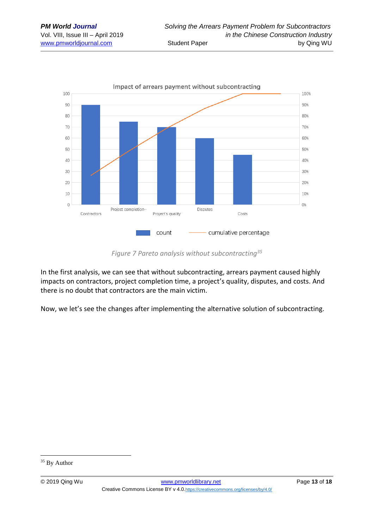

#### *Figure 7 Pareto analysis without subcontracting<sup>35</sup>*

In the first analysis, we can see that without subcontracting, arrears payment caused highly impacts on contractors, project completion time, a project's quality, disputes, and costs. And there is no doubt that contractors are the main victim.

Now, we let's see the changes after implementing the alternative solution of subcontracting.

<u>.</u>

<sup>&</sup>lt;sup>35</sup> By Author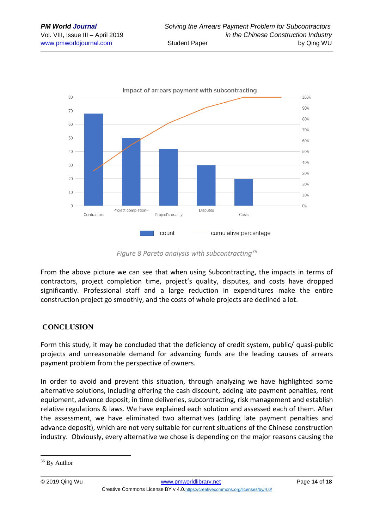

#### *Figure 8 Pareto analysis with subcontracting<sup>36</sup>*

From the above picture we can see that when using Subcontracting, the impacts in terms of contractors, project completion time, project's quality, disputes, and costs have dropped significantly. Professional staff and a large reduction in expenditures make the entire construction project go smoothly, and the costs of whole projects are declined a lot.

### **CONCLUSION**

Form this study, it may be concluded that the deficiency of credit system, public/ quasi-public projects and unreasonable demand for advancing funds are the leading causes of arrears payment problem from the perspective of owners.

In order to avoid and prevent this situation, through analyzing we have highlighted some alternative solutions, including offering the cash discount, adding late payment penalties, rent equipment, advance deposit, in time deliveries, subcontracting, risk management and establish relative regulations & laws. We have explained each solution and assessed each of them. After the assessment, we have eliminated two alternatives (adding late payment penalties and advance deposit), which are not very suitable for current situations of the Chinese construction industry. Obviously, every alternative we chose is depending on the major reasons causing the

<u>.</u>

<sup>36</sup> By Author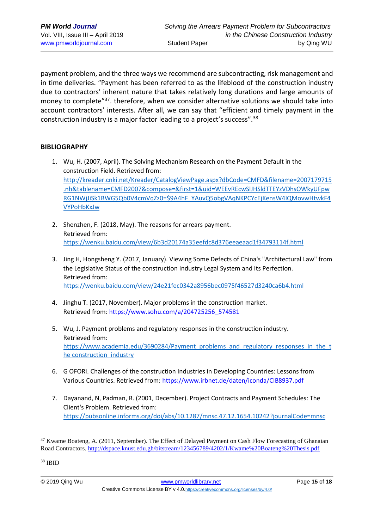payment problem, and the three ways we recommend are subcontracting, risk management and in time deliveries. "Payment has been referred to as the lifeblood of the construction industry due to contractors' inherent nature that takes relatively long durations and large amounts of money to complete"<sup>37</sup>. therefore, when we consider alternative solutions we should take into account contractors' interests. After all, we can say that "efficient and timely payment in the construction industry is a major factor leading to a project's success".<sup>38</sup>

#### **BIBLIOGRAPHY**

- 1. Wu, H. (2007, April). The Solving Mechanism Research on the Payment Default in the construction Field. Retrieved from: [http://kreader.cnki.net/Kreader/CatalogViewPage.aspx?dbCode=CMFD&filename=2007179715](http://kreader.cnki.net/Kreader/CatalogViewPage.aspx?dbCode=CMFD&filename=2007179715.nh&tablename=CMFD2007&compose=&first=1&uid=WEEvREcwSlJHSldTTEYzVDhsOWkyUFpwRG1NWjJiSk1BWG5Qb0V4cmVqZz0=$9A4hF_YAuvQ5obgVAqNKPCYcEjKensW4IQMovwHtwkF4VYPoHbKxJw) [.nh&tablename=CMFD2007&compose=&first=1&uid=WEEvREcwSlJHSldTTEYzVDhsOWkyUFpw](http://kreader.cnki.net/Kreader/CatalogViewPage.aspx?dbCode=CMFD&filename=2007179715.nh&tablename=CMFD2007&compose=&first=1&uid=WEEvREcwSlJHSldTTEYzVDhsOWkyUFpwRG1NWjJiSk1BWG5Qb0V4cmVqZz0=$9A4hF_YAuvQ5obgVAqNKPCYcEjKensW4IQMovwHtwkF4VYPoHbKxJw) [RG1NWjJiSk1BWG5Qb0V4cmVqZz0=\\$9A4hF\\_YAuvQ5obgVAqNKPCYcEjKensW4IQMovwHtwkF4](http://kreader.cnki.net/Kreader/CatalogViewPage.aspx?dbCode=CMFD&filename=2007179715.nh&tablename=CMFD2007&compose=&first=1&uid=WEEvREcwSlJHSldTTEYzVDhsOWkyUFpwRG1NWjJiSk1BWG5Qb0V4cmVqZz0=$9A4hF_YAuvQ5obgVAqNKPCYcEjKensW4IQMovwHtwkF4VYPoHbKxJw) [VYPoHbKxJw](http://kreader.cnki.net/Kreader/CatalogViewPage.aspx?dbCode=CMFD&filename=2007179715.nh&tablename=CMFD2007&compose=&first=1&uid=WEEvREcwSlJHSldTTEYzVDhsOWkyUFpwRG1NWjJiSk1BWG5Qb0V4cmVqZz0=$9A4hF_YAuvQ5obgVAqNKPCYcEjKensW4IQMovwHtwkF4VYPoHbKxJw)
- 2. Shenzhen, F. (2018, May). The reasons for arrears payment. Retrieved from: <https://wenku.baidu.com/view/6b3d20174a35eefdc8d376eeaeaad1f34793114f.html>
- 3. Jing H, Hongsheng Y. (2017, January). Viewing Some Defects of China's "Architectural Law" from the Legislative Status of the construction Industry Legal System and Its Perfection. Retrieved from: <https://wenku.baidu.com/view/24e21fec0342a8956bec0975f46527d3240ca6b4.html>
- 4. Jinghu T. (2017, November). Major problems in the construction market. Retrieved from: [https://www.sohu.com/a/204725256\\_574581](https://www.sohu.com/a/204725256_574581)
- 5. Wu, J. Payment problems and regulatory responses in the construction industry. Retrieved from: [https://www.academia.edu/3690284/Payment\\_problems\\_and\\_regulatory\\_responses\\_in\\_the\\_t](https://www.academia.edu/3690284/Payment_problems_and_regulatory_responses_in_the_construction_industry) he construction industry
- 6. G OFORI. Challenges of the construction Industries in Developing Countries: Lessons from Various Countries. Retrieved from: <https://www.irbnet.de/daten/iconda/CIB8937.pdf>
- 7. Dayanand, N, Padman, R. (2001, December). Project Contracts and Payment Schedules: The Client's Problem. Retrieved from: <https://pubsonline.informs.org/doi/abs/10.1287/mnsc.47.12.1654.10242?journalCode=mnsc>

<sup>&</sup>lt;sup>37</sup> Kwame Boateng, A. (2011, September). The Effect of Delayed Payment on Cash Flow Forecasting of Ghanaian Road Contractors.<http://dspace.knust.edu.gh/bitstream/123456789/4202/1/Kwame%20Boateng%20Thesis.pdf>

<sup>38</sup> IBID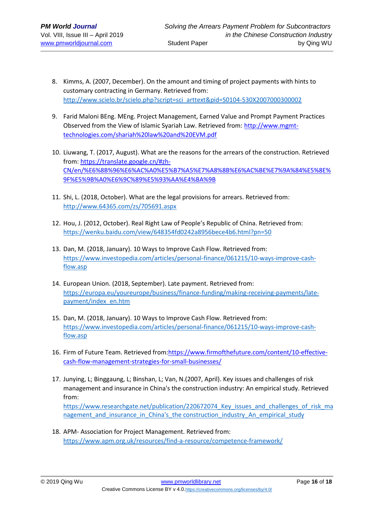- 8. Kimms, A. (2007, December). On the amount and timing of project payments with hints to customary contracting in Germany. Retrieved from: [http://www.scielo.br/scielo.php?script=sci\\_arttext&pid=S0104-530X2007000300002](http://www.scielo.br/scielo.php?script=sci_arttext&pid=S0104-530X2007000300002)
- 9. Farid Maloni BEng. MEng. Project Management, Earned Value and Prompt Payment Practices Observed from the View of Islamic Syariah Law. Retrieved from: [http://www.mgmt](http://www.mgmt-technologies.com/shariah%20law%20and%20EVM.pdf)[technologies.com/shariah%20law%20and%20EVM.pdf](http://www.mgmt-technologies.com/shariah%20law%20and%20EVM.pdf)
- 10. Liuwang, T. (2017, August). What are the reasons for the arrears of the construction. Retrieved from: [https://translate.google.cn/#zh-](https://translate.google.cn/#zh-CN/en/%E6%8B%96%E6%AC%A0%E5%B7%A5%E7%A8%8B%E6%AC%BE%E7%9A%84%E5%8E%9F%E5%9B%A0%E6%9C%89%E5%93%AA%E4%BA%9B)[CN/en/%E6%8B%96%E6%AC%A0%E5%B7%A5%E7%A8%8B%E6%AC%BE%E7%9A%84%E5%8E%](https://translate.google.cn/#zh-CN/en/%E6%8B%96%E6%AC%A0%E5%B7%A5%E7%A8%8B%E6%AC%BE%E7%9A%84%E5%8E%9F%E5%9B%A0%E6%9C%89%E5%93%AA%E4%BA%9B) [9F%E5%9B%A0%E6%9C%89%E5%93%AA%E4%BA%9B](https://translate.google.cn/#zh-CN/en/%E6%8B%96%E6%AC%A0%E5%B7%A5%E7%A8%8B%E6%AC%BE%E7%9A%84%E5%8E%9F%E5%9B%A0%E6%9C%89%E5%93%AA%E4%BA%9B)
- 11. Shi, L. (2018, October). What are the legal provisions for arrears. Retrieved from: <http://www.64365.com/zs/705691.aspx>
- 12. Hou, J. (2012, October). Real Right Law of People's Republic of China. Retrieved from: <https://wenku.baidu.com/view/648354fd0242a8956bece4b6.html?pn=50>
- 13. Dan, M. (2018, January). 10 Ways to Improve Cash Flow. Retrieved from: [https://www.investopedia.com/articles/personal-finance/061215/10-ways-improve-cash](https://www.investopedia.com/articles/personal-finance/061215/10-ways-improve-cash-flow.asp)[flow.asp](https://www.investopedia.com/articles/personal-finance/061215/10-ways-improve-cash-flow.asp)
- 14. European Union. (2018, September). Late payment. Retrieved from: [https://europa.eu/youreurope/business/finance-funding/making-receiving-payments/late](https://europa.eu/youreurope/business/finance-funding/making-receiving-payments/late-payment/index_en.htm)[payment/index\\_en.htm](https://europa.eu/youreurope/business/finance-funding/making-receiving-payments/late-payment/index_en.htm)
- 15. Dan, M. (2018, January). 10 Ways to Improve Cash Flow. Retrieved from: [https://www.investopedia.com/articles/personal-finance/061215/10-ways-improve-cash](https://www.investopedia.com/articles/personal-finance/061215/10-ways-improve-cash-flow.asp)[flow.asp](https://www.investopedia.com/articles/personal-finance/061215/10-ways-improve-cash-flow.asp)
- 16. Firm of Future Team. Retrieved from: https://www.firmofthefuture.com/content/10-effective[cash-flow-management-strategies-for-small-businesses/](https://www.firmofthefuture.com/content/10-effective-cash-flow-management-strategies-for-small-businesses/)
- 17. Junying, L; Binggaung, L; Binshan, L; Van, N.(2007, April). Key issues and challenges of risk management and insurance in China's the construction industry: An empirical study. Retrieved from:

https://www.researchgate.net/publication/220672074 Key issues and challenges of risk ma nagement and insurance in China's the construction industry An empirical study

18. APM- Association for Project Management. Retrieved from: <https://www.apm.org.uk/resources/find-a-resource/competence-framework/>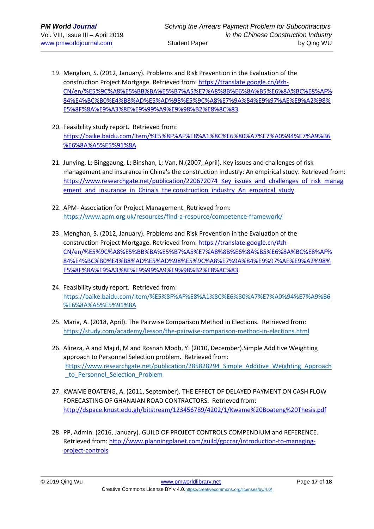- 19. Menghan, S. (2012, January). Problems and Risk Prevention in the Evaluation of the construction Project Mortgage. Retrieved from: [https://translate.google.cn/#zh-](https://translate.google.cn/#zh-CN/en/%E5%9C%A8%E5%BB%BA%E5%B7%A5%E7%A8%8B%E6%8A%B5%E6%8A%BC%E8%AF%84%E4%BC%B0%E4%B8%AD%E5%AD%98%E5%9C%A8%E7%9A%84%E9%97%AE%E9%A2%98%E5%8F%8A%E9%A3%8E%E9%99%A9%E9%98%B2%E8%8C%83)[CN/en/%E5%9C%A8%E5%BB%BA%E5%B7%A5%E7%A8%8B%E6%8A%B5%E6%8A%BC%E8%AF%](https://translate.google.cn/#zh-CN/en/%E5%9C%A8%E5%BB%BA%E5%B7%A5%E7%A8%8B%E6%8A%B5%E6%8A%BC%E8%AF%84%E4%BC%B0%E4%B8%AD%E5%AD%98%E5%9C%A8%E7%9A%84%E9%97%AE%E9%A2%98%E5%8F%8A%E9%A3%8E%E9%99%A9%E9%98%B2%E8%8C%83) [84%E4%BC%B0%E4%B8%AD%E5%AD%98%E5%9C%A8%E7%9A%84%E9%97%AE%E9%A2%98%](https://translate.google.cn/#zh-CN/en/%E5%9C%A8%E5%BB%BA%E5%B7%A5%E7%A8%8B%E6%8A%B5%E6%8A%BC%E8%AF%84%E4%BC%B0%E4%B8%AD%E5%AD%98%E5%9C%A8%E7%9A%84%E9%97%AE%E9%A2%98%E5%8F%8A%E9%A3%8E%E9%99%A9%E9%98%B2%E8%8C%83) [E5%8F%8A%E9%A3%8E%E9%99%A9%E9%98%B2%E8%8C%83](https://translate.google.cn/#zh-CN/en/%E5%9C%A8%E5%BB%BA%E5%B7%A5%E7%A8%8B%E6%8A%B5%E6%8A%BC%E8%AF%84%E4%BC%B0%E4%B8%AD%E5%AD%98%E5%9C%A8%E7%9A%84%E9%97%AE%E9%A2%98%E5%8F%8A%E9%A3%8E%E9%99%A9%E9%98%B2%E8%8C%83)
- 20. Feasibility study report. Retrieved from: [https://baike.baidu.com/item/%E5%8F%AF%E8%A1%8C%E6%80%A7%E7%A0%94%E7%A9%B6](https://baike.baidu.com/item/%E5%8F%AF%E8%A1%8C%E6%80%A7%E7%A0%94%E7%A9%B6%E6%8A%A5%E5%91%8A) [%E6%8A%A5%E5%91%8A](https://baike.baidu.com/item/%E5%8F%AF%E8%A1%8C%E6%80%A7%E7%A0%94%E7%A9%B6%E6%8A%A5%E5%91%8A)
- 21. Junying, L; Binggaung, L; Binshan, L; Van, N.(2007, April). Key issues and challenges of risk management and insurance in China's the construction industry: An empirical study. Retrieved from: https://www.researchgate.net/publication/220672074 Key issues and challenges of risk manag ement and insurance in China's the construction industry An empirical study
- 22. APM- Association for Project Management. Retrieved from: <https://www.apm.org.uk/resources/find-a-resource/competence-framework/>
- 23. Menghan, S. (2012, January). Problems and Risk Prevention in the Evaluation of the construction Project Mortgage. Retrieved from: [https://translate.google.cn/#zh-](https://translate.google.cn/#zh-CN/en/%E5%9C%A8%E5%BB%BA%E5%B7%A5%E7%A8%8B%E6%8A%B5%E6%8A%BC%E8%AF%84%E4%BC%B0%E4%B8%AD%E5%AD%98%E5%9C%A8%E7%9A%84%E9%97%AE%E9%A2%98%E5%8F%8A%E9%A3%8E%E9%99%A9%E9%98%B2%E8%8C%83)[CN/en/%E5%9C%A8%E5%BB%BA%E5%B7%A5%E7%A8%8B%E6%8A%B5%E6%8A%BC%E8%AF%](https://translate.google.cn/#zh-CN/en/%E5%9C%A8%E5%BB%BA%E5%B7%A5%E7%A8%8B%E6%8A%B5%E6%8A%BC%E8%AF%84%E4%BC%B0%E4%B8%AD%E5%AD%98%E5%9C%A8%E7%9A%84%E9%97%AE%E9%A2%98%E5%8F%8A%E9%A3%8E%E9%99%A9%E9%98%B2%E8%8C%83) [84%E4%BC%B0%E4%B8%AD%E5%AD%98%E5%9C%A8%E7%9A%84%E9%97%AE%E9%A2%98%](https://translate.google.cn/#zh-CN/en/%E5%9C%A8%E5%BB%BA%E5%B7%A5%E7%A8%8B%E6%8A%B5%E6%8A%BC%E8%AF%84%E4%BC%B0%E4%B8%AD%E5%AD%98%E5%9C%A8%E7%9A%84%E9%97%AE%E9%A2%98%E5%8F%8A%E9%A3%8E%E9%99%A9%E9%98%B2%E8%8C%83) [E5%8F%8A%E9%A3%8E%E9%99%A9%E9%98%B2%E8%8C%83](https://translate.google.cn/#zh-CN/en/%E5%9C%A8%E5%BB%BA%E5%B7%A5%E7%A8%8B%E6%8A%B5%E6%8A%BC%E8%AF%84%E4%BC%B0%E4%B8%AD%E5%AD%98%E5%9C%A8%E7%9A%84%E9%97%AE%E9%A2%98%E5%8F%8A%E9%A3%8E%E9%99%A9%E9%98%B2%E8%8C%83)
- 24. Feasibility study report. Retrieved from: [https://baike.baidu.com/item/%E5%8F%AF%E8%A1%8C%E6%80%A7%E7%A0%94%E7%A9%B6](https://baike.baidu.com/item/%E5%8F%AF%E8%A1%8C%E6%80%A7%E7%A0%94%E7%A9%B6%E6%8A%A5%E5%91%8A) [%E6%8A%A5%E5%91%8A](https://baike.baidu.com/item/%E5%8F%AF%E8%A1%8C%E6%80%A7%E7%A0%94%E7%A9%B6%E6%8A%A5%E5%91%8A)
- 25. Maria, A. (2018, April). The Pairwise Comparison Method in Elections. Retrieved from: <https://study.com/academy/lesson/the-pairwise-comparison-method-in-elections.html>
- 26. Alireza, A and Majid, M and Rosnah Modh, Y. (2010, December).Simple Additive Weighting approach to Personnel Selection problem. Retrieved from: [https://www.researchgate.net/publication/285828294\\_Simple\\_Additive\\_Weighting\\_Approach](https://www.researchgate.net/publication/285828294_Simple_Additive_Weighting_Approach_to_Personnel_Selection_Problem) to Personnel Selection Problem
- 27. KWAME BOATENG, A. (2011, September). THE EFFECT OF DELAYED PAYMENT ON CASH FLOW FORECASTING OF GHANAIAN ROAD CONTRACTORS. Retrieved from: <http://dspace.knust.edu.gh/bitstream/123456789/4202/1/Kwame%20Boateng%20Thesis.pdf>
- 28. PP, Admin. (2016, January). GUILD OF PROJECT CONTROLS COMPENDIUM and REFERENCE. Retrieved from: [http://www.planningplanet.com/guild/gpccar/introduction-to-managing](http://www.planningplanet.com/guild/gpccar/introduction-to-managing-project-controls)[project-controls](http://www.planningplanet.com/guild/gpccar/introduction-to-managing-project-controls)